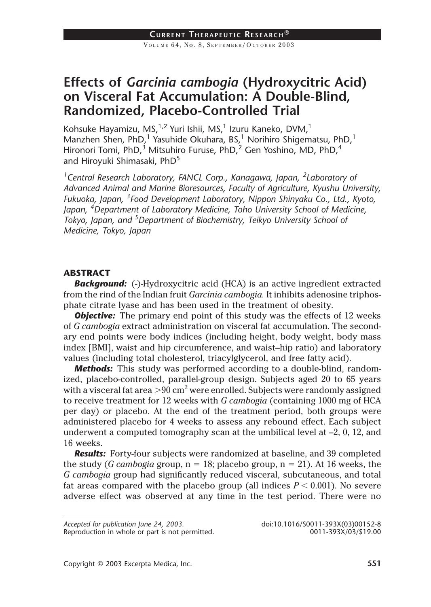VOLUME 64, No. 8, SEPTEMBER/OCTOBER 2003

# **Effects of** *Garcinia cambogia* **(Hydroxycitric Acid) on Visceral Fat Accumulation: A Double-Blind, Randomized, Placebo-Controlled Trial**

Kohsuke Hayamizu, MS, $^{1,2}$  Yuri Ishii, MS, $^{1}$  Izuru Kaneko, DVM, $^{1}$ Manzhen Shen, PhD,<sup>1</sup> Yasuhide Okuhara, BS,<sup>1</sup> Norihiro Shigematsu, PhD,<sup>1</sup> Hironori Tomi, PhD,<sup>3</sup> Mitsuhiro Furuse, PhD,<sup>2</sup> Gen Yoshino, MD, PhD,<sup>4</sup> and Hiroyuki Shimasaki, PhD<sup>5</sup>

*1 Central Research Laboratory, FANCL Corp., Kanagawa, Japan, <sup>2</sup> Laboratory of Advanced Animal and Marine Bioresources, Faculty of Agriculture, Kyushu University, Fukuoka, Japan, 3Food Development Laboratory, Nippon Shinyaku Co., Ltd., Kyoto, Japan, <sup>4</sup> Department of Laboratory Medicine, Toho University School of Medicine, Tokyo, Japan, and 5Department of Biochemistry, Teikyo University School of Medicine, Tokyo, Japan*

# **ABSTRACT**

**Background:** (-)-Hydroxycitric acid (HCA) is an active ingredient extracted from the rind of the Indian fruit *Garcinia cambogia.* It inhibits adenosine triphosphate citrate lyase and has been used in the treatment of obesity.

**Objective:** The primary end point of this study was the effects of 12 weeks of *G cambogia* extract administration on visceral fat accumulation. The secondary end points were body indices (including height, body weight, body mass index [BMI], waist and hip circumference, and waist–hip ratio) and laboratory values (including total cholesterol, triacylglycerol, and free fatty acid).

*Methods:* This study was performed according to a double-blind, randomized, placebo-controlled, parallel-group design. Subjects aged 20 to 65 years with a visceral fat area  $>90 \text{ cm}^2$  were enrolled. Subjects were randomly assigned to receive treatment for 12 weeks with *G cambogia* (containing 1000 mg of HCA per day) or placebo. At the end of the treatment period, both groups were administered placebo for 4 weeks to assess any rebound effect. Each subject underwent a computed tomography scan at the umbilical level at –2, 0, 12, and 16 weeks.

*Results:* Forty-four subjects were randomized at baseline, and 39 completed the study (*G cambogia* group,  $n = 18$ ; placebo group,  $n = 21$ ). At 16 weeks, the *G cambogia* group had significantly reduced visceral, subcutaneous, and total fat areas compared with the placebo group (all indices  $P < 0.001$ ). No severe adverse effect was observed at any time in the test period. There were no

*Accepted for publication June 24, 2003.* doi:10.1016/S0011-393X(03)00152-8 Reproduction in whole or part is not permitted.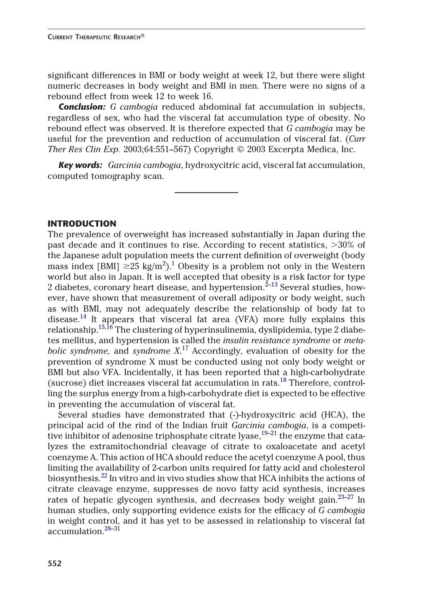significant differences in BMI or body weight at week 12, but there were slight numeric decreases in body weight and BMI in men. There were no signs of a rebound effect from week 12 to week 16.

*Conclusion: G cambogia* reduced abdominal fat accumulation in subjects, regardless of sex, who had the visceral fat accumulation type of obesity. No rebound effect was observed. It is therefore expected that *G cambogia* may be useful for the prevention and reduction of accumulation of visceral fat. (*Curr Ther Res Clin Exp.* 2003;64:551–567) Copyright © 2003 Excerpta Medica, Inc.

*Key words: Garcinia cambogia*, hydroxycitric acid, visceral fat accumulation, computed tomography scan.

#### **INTRODUCTION**

The prevalence of overweight has increased substantially in Japan during the past decade and it continues to rise. According to recent statistics, 30% of the Japanese adult population meets the current definition of overweight (body mass index [BMI]  $\geq 25 \text{ kg/m}^2$ ).<sup>[1](#page-14-0)</sup> Obesity is a problem not only in the Western world but also in Japan. It is well accepted that obesity is a risk factor for type 2 diabetes, coronary heart disease, and hypertension. $2^{-13}$  Several studies, however, have shown that measurement of overall adiposity or body weight, such as with BMI, may not adequately describe the relationship of body fat to disease.<sup>14</sup> It appears that visceral fat area (VFA) more fully explains this relationship.<sup>15,16</sup> The clustering of hyperinsulinemia, dyslipidemia, type 2 diabetes mellitus, and hypertension is called the *insulin resistance syndrome* or *metabolic syndrome,* and *syndrome X*. [17](#page-15-0) Accordingly, evaluation of obesity for the prevention of syndrome X must be conducted using not only body weight or BMI but also VFA. Incidentally, it has been reported that a high-carbohydrate (sucrose) diet increases visceral fat accumulation in rats.<sup>18</sup> Therefore, controlling the surplus energy from a high-carbohydrate diet is expected to be effective in preventing the accumulation of visceral fat.

Several studies have demonstrated that (-)-hydroxycitric acid (HCA), the principal acid of the rind of the Indian fruit *Garcinia cambogia*, is a competitive inhibitor of adenosine triphosphate citrate lyase,  $19-21$  the enzyme that catalyzes the extramitochondrial cleavage of citrate to oxaloacetate and acetyl coenzyme A. This action of HCA should reduce the acetyl coenzyme A pool, thus limiting the availability of 2-carbon units required for fatty acid and cholesterol biosynthesis.[22](#page-15-0) In vitro and in vivo studies show that HCA inhibits the actions of citrate cleavage enzyme, suppresses de novo fatty acid synthesis, increases rates of hepatic glycogen synthesis, and decreases body weight gain. $23-27$  In human studies, only supporting evidence exists for the efficacy of *G cambogia* in weight control, and it has yet to be assessed in relationship to visceral fat accumulation.[28–31](#page-15-0)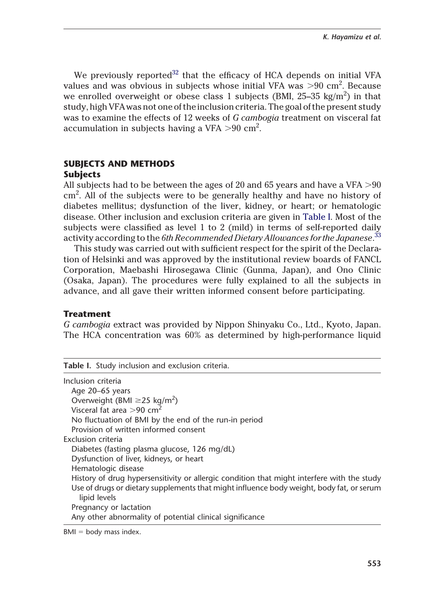We previously reported<sup>32</sup> that the efficacy of HCA depends on initial VFA values and was obvious in subjects whose initial VFA was  ${>}90\; \rm cm^2$ . Because we enrolled overweight or obese class 1 subjects (BMI, 25–35 kg/m<sup>2</sup>) in that study, high VFA was not one of the inclusion criteria. The goal of the present study was to examine the effects of 12 weeks of *G cambogia* treatment on visceral fat accumulation in subjects having a VFA  ${>}90$  cm $^2\!$ .

# **SUBJECTS AND METHODS Subjects**

All subjects had to be between the ages of 20 and 65 years and have a VFA  $>90$  $\text{cm}^2$ . All of the subjects were to be generally healthy and have no history of diabetes mellitus; dysfunction of the liver, kidney, or heart; or hematologic disease. Other inclusion and exclusion criteria are given in Table I. Most of the subjects were classified as level 1 to 2 (mild) in terms of self-reported daily activity according to the *6th Recommended Dietary Allowances for the Japanese*. [33](#page-16-0)

This study was carried out with sufficient respect for the spirit of the Declaration of Helsinki and was approved by the institutional review boards of FANCL Corporation, Maebashi Hirosegawa Clinic (Gunma, Japan), and Ono Clinic (Osaka, Japan). The procedures were fully explained to all the subjects in advance, and all gave their written informed consent before participating.

# **Treatment**

*G cambogia* extract was provided by Nippon Shinyaku Co., Ltd., Kyoto, Japan. The HCA concentration was 60% as determined by high-performance liquid

| Table I. Study inclusion and exclusion criteria.                                                         |
|----------------------------------------------------------------------------------------------------------|
| Inclusion criteria                                                                                       |
| Age 20–65 years                                                                                          |
| Overweight (BMI $\geq$ 25 kg/m <sup>2</sup> )                                                            |
| Visceral fat area >90 $cm2$                                                                              |
| No fluctuation of BMI by the end of the run-in period                                                    |
| Provision of written informed consent                                                                    |
| Exclusion criteria                                                                                       |
| Diabetes (fasting plasma glucose, 126 mg/dL)                                                             |
| Dysfunction of liver, kidneys, or heart                                                                  |
| Hematologic disease                                                                                      |
| History of drug hypersensitivity or allergic condition that might interfere with the study               |
| Use of drugs or dietary supplements that might influence body weight, body fat, or serum<br>lipid levels |
| Pregnancy or lactation                                                                                   |
| Any other abnormality of potential clinical significance                                                 |

BMI = body mass index.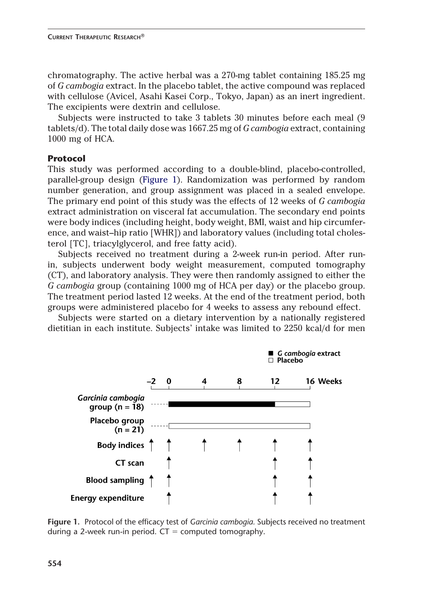chromatography. The active herbal was a 270-mg tablet containing 185.25 mg of *G cambogia* extract. In the placebo tablet, the active compound was replaced with cellulose (Avicel, Asahi Kasei Corp., Tokyo, Japan) as an inert ingredient. The excipients were dextrin and cellulose.

Subjects were instructed to take 3 tablets 30 minutes before each meal (9 tablets/d). The total daily dose was 1667.25 mg of *G cambogia* extract, containing 1000 mg of HCA.

# **Protocol**

This study was performed according to a double-blind, placebo-controlled, parallel-group design (Figure 1). Randomization was performed by random number generation, and group assignment was placed in a sealed envelope. The primary end point of this study was the effects of 12 weeks of *G cambogia* extract administration on visceral fat accumulation. The secondary end points were body indices (including height, body weight, BMI, waist and hip circumference, and waist–hip ratio [WHR]) and laboratory values (including total cholesterol [TC], triacylglycerol, and free fatty acid).

Subjects received no treatment during a 2-week run-in period. After runin, subjects underwent body weight measurement, computed tomography (CT), and laboratory analysis. They were then randomly assigned to either the *G cambogia* group (containing 1000 mg of HCA per day) or the placebo group. The treatment period lasted 12 weeks. At the end of the treatment period, both groups were administered placebo for 4 weeks to assess any rebound effect.

Subjects were started on a dietary intervention by a nationally registered dietitian in each institute. Subjects' intake was limited to 2250 kcal/d for men



**Figure 1.** Protocol of the efficacy test of *Garcinia cambogia.* Subjects received no treatment during a 2-week run-in period.  $CT =$  computed tomography.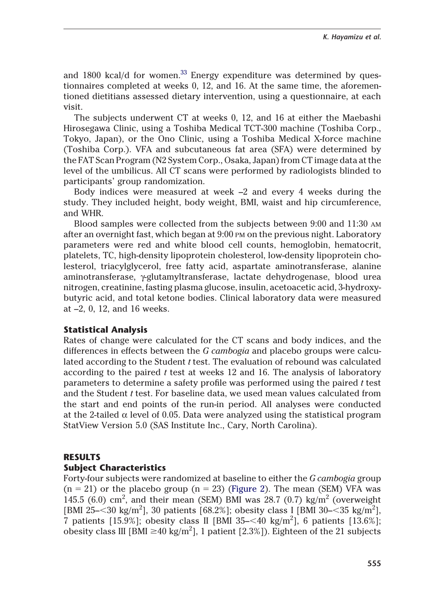and  $1800$  kcal/d for women.<sup>33</sup> Energy expenditure was determined by questionnaires completed at weeks 0, 12, and 16. At the same time, the aforementioned dietitians assessed dietary intervention, using a questionnaire, at each visit.

The subjects underwent CT at weeks 0, 12, and 16 at either the Maebashi Hirosegawa Clinic, using a Toshiba Medical TCT-300 machine (Toshiba Corp., Tokyo, Japan), or the Ono Clinic, using a Toshiba Medical X-force machine (Toshiba Corp.). VFA and subcutaneous fat area (SFA) were determined by the FAT Scan Program (N2 System Corp., Osaka, Japan) from CT image data at the level of the umbilicus. All CT scans were performed by radiologists blinded to participants' group randomization.

Body indices were measured at week –2 and every 4 weeks during the study. They included height, body weight, BMI, waist and hip circumference, and WHR.

Blood samples were collected from the subjects between 9:00 and 11:30 AM after an overnight fast, which began at 9:00 PM on the previous night. Laboratory parameters were red and white blood cell counts, hemoglobin, hematocrit, platelets, TC, high-density lipoprotein cholesterol, low-density lipoprotein cholesterol, triacylglycerol, free fatty acid, aspartate aminotransferase, alanine aminotransferase, γ-glutamyltransferase, lactate dehydrogenase, blood urea nitrogen, creatinine, fasting plasma glucose, insulin, acetoacetic acid, 3-hydroxybutyric acid, and total ketone bodies. Clinical laboratory data were measured at –2, 0, 12, and 16 weeks.

# **Statistical Analysis**

Rates of change were calculated for the CT scans and body indices, and the differences in effects between the *G cambogia* and placebo groups were calculated according to the Student *t* test. The evaluation of rebound was calculated according to the paired *t* test at weeks 12 and 16. The analysis of laboratory parameters to determine a safety profile was performed using the paired *t* test and the Student *t* test. For baseline data, we used mean values calculated from the start and end points of the run-in period. All analyses were conducted at the 2-tailed  $\alpha$  level of 0.05. Data were analyzed using the statistical program StatView Version 5.0 (SAS Institute Inc., Cary, North Carolina).

# **RESULTS**

# **Subject Characteristics**

Forty-four subjects were randomized at baseline to either the *G cambogia* group  $(n = 21)$  or the placebo group  $(n = 23)$  [\(Figure 2\)](#page-5-0). The mean (SEM) VFA was 145.5 (6.0) cm<sup>2</sup>, and their mean (SEM) BMI was 28.7 (0.7) kg/m<sup>2</sup> (overweight [BMI 25– $\leq$ 30 kg/m<sup>2</sup>], 30 patients [68.2%]; obesity class I [BMI 30– $\leq$ 35 kg/m<sup>2</sup>], 7 patients [15.9%]; obesity class II [BMI 35- $<$ 40 kg/m<sup>2</sup>], 6 patients [13.6%]; obesity class III [BMI  $\geq$ 40 kg/m<sup>2</sup>], 1 patient [2.3%]). Eighteen of the 21 subjects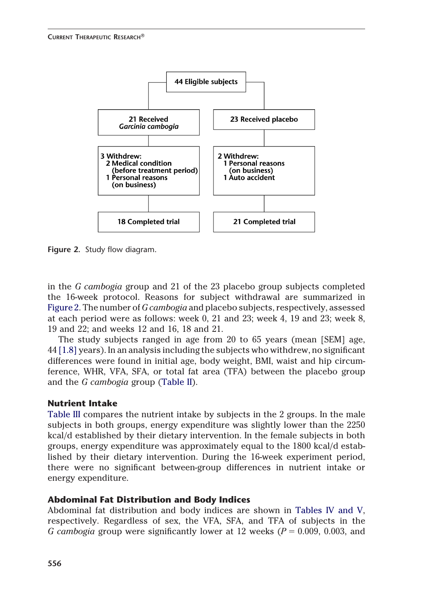<span id="page-5-0"></span>

**Figure 2.** Study flow diagram.

in the *G cambogia* group and 21 of the 23 placebo group subjects completed the 16-week protocol. Reasons for subject withdrawal are summarized in Figure 2. The number of*G cambogia* and placebo subjects, respectively, assessed at each period were as follows: week 0, 21 and 23; week 4, 19 and 23; week 8, 19 and 22; and weeks 12 and 16, 18 and 21.

The study subjects ranged in age from 20 to 65 years (mean [SEM] age, 44 [1.8] years). In an analysis including the subjects who withdrew, no significant differences were found in initial age, body weight, BMI, waist and hip circumference, WHR, VFA, SFA, or total fat area (TFA) between the placebo group and the *G cambogia* group [\(Table II\)](#page-6-0).

# **Nutrient Intake**

[Table III](#page-7-0) compares the nutrient intake by subjects in the 2 groups. In the male subjects in both groups, energy expenditure was slightly lower than the 2250 kcal/d established by their dietary intervention. In the female subjects in both groups, energy expenditure was approximately equal to the 1800 kcal/d established by their dietary intervention. During the 16-week experiment period, there were no significant between-group differences in nutrient intake or energy expenditure.

# **Abdominal Fat Distribution and Body Indices**

Abdominal fat distribution and body indices are shown in [Tables IV and V,](#page-8-0) respectively. Regardless of sex, the VFA, SFA, and TFA of subjects in the *G cambogia* group were significantly lower at 12 weeks  $(P = 0.009, 0.003,$  and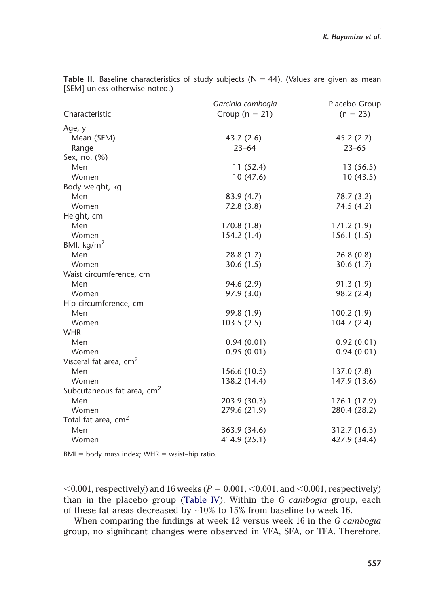|                                        | Garcinia cambogia  | Placebo Group |
|----------------------------------------|--------------------|---------------|
| Characteristic                         | Group ( $n = 21$ ) | $(n = 23)$    |
| Age, y                                 |                    |               |
| Mean (SEM)                             | 43.7 (2.6)         | 45.2(2.7)     |
| Range                                  | $23 - 64$          | $23 - 65$     |
| Sex, no. (%)                           |                    |               |
| Men                                    | 11(52.4)           | 13 (56.5)     |
| Women                                  | 10(47.6)           | 10(43.5)      |
| Body weight, kg                        |                    |               |
| Men                                    | 83.9 (4.7)         | 78.7 (3.2)    |
| Women                                  | 72.8(3.8)          | 74.5 (4.2)    |
| Height, cm                             |                    |               |
| Men                                    | 170.8(1.8)         | 171.2 (1.9)   |
| Women                                  | 154.2 (1.4)        | 156.1(1.5)    |
| BMI, kg/m <sup>2</sup>                 |                    |               |
| Men                                    | 28.8(1.7)          | 26.8(0.8)     |
| Women                                  | 30.6 $(1.5)$       | 30.6 $(1.7)$  |
| Waist circumference, cm                |                    |               |
| Men                                    | 94.6 (2.9)         | 91.3(1.9)     |
| Women                                  | 97.9 (3.0)         | 98.2 (2.4)    |
| Hip circumference, cm                  |                    |               |
| Men                                    | 99.8 (1.9)         | 100.2 (1.9)   |
| Women                                  | 103.5(2.5)         | 104.7(2.4)    |
| <b>WHR</b>                             |                    |               |
| Men                                    | 0.94(0.01)         | 0.92(0.01)    |
| Women                                  | 0.95(0.01)         | 0.94(0.01)    |
| Visceral fat area, cm <sup>2</sup>     |                    |               |
| Men                                    | 156.6 (10.5)       | 137.0 (7.8)   |
| Women                                  | 138.2 (14.4)       | 147.9 (13.6)  |
| Subcutaneous fat area, cm <sup>2</sup> |                    |               |
| Men                                    | 203.9 (30.3)       | 176.1 (17.9)  |
| Women                                  | 279.6 (21.9)       | 280.4 (28.2)  |
| Total fat area, cm <sup>2</sup>        |                    |               |
| Men                                    | 363.9 (34.6)       | 312.7 (16.3)  |
| Women                                  | 414.9 (25.1)       | 427.9 (34.4)  |

<span id="page-6-0"></span>**Table II.** Baseline characteristics of study subjects (N = 44). (Values are given as mean [SEM] unless otherwise noted.)

 $BMI = body$  mass index;  $WHR = wait - hip$  ratio.

 $<$  0.001, respectively) and 16 weeks ( $P = 0.001$ ,  $<$  0.001, and  $<$  0.001, respectively) than in the placebo group [\(Table IV\)](#page-8-0). Within the *G cambogia* group, each of these fat areas decreased by ∼10% to 15% from baseline to week 16.

When comparing the findings at week 12 versus week 16 in the *G cambogia* group, no significant changes were observed in VFA, SFA, or TFA. Therefore,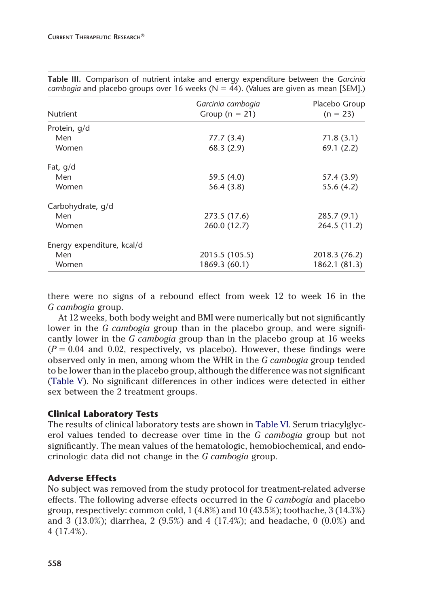|                            | Garcinia cambogia  | Placebo Group |
|----------------------------|--------------------|---------------|
| <b>Nutrient</b>            | Group ( $n = 21$ ) | $(n = 23)$    |
| Protein, g/d               |                    |               |
| Men                        | 77.7 (3.4)         | 71.8(3.1)     |
| Women                      | 68.3(2.9)          | 69.1(2.2)     |
| Fat, g/d                   |                    |               |
| Men                        | 59.5 (4.0)         | 57.4 (3.9)    |
| Women                      | 56.4(3.8)          | 55.6 $(4.2)$  |
| Carbohydrate, g/d          |                    |               |
| Men                        | 273.5 (17.6)       | 285.7(9.1)    |
| Women                      | 260.0 (12.7)       | 264.5 (11.2)  |
| Energy expenditure, kcal/d |                    |               |
| Men                        | 2015.5 (105.5)     | 2018.3 (76.2) |
| Women                      | 1869.3 (60.1)      | 1862.1 (81.3) |

<span id="page-7-0"></span>**Table III.** Comparison of nutrient intake and energy expenditure between the *Garcinia cambogia* and placebo groups over 16 weeks ( $N = 44$ ). (Values are given as mean [SEM].)

there were no signs of a rebound effect from week 12 to week 16 in the *G cambogia* group.

At 12 weeks, both body weight and BMI were numerically but not significantly lower in the *G cambogia* group than in the placebo group, and were significantly lower in the *G cambogia* group than in the placebo group at 16 weeks  $(P = 0.04$  and 0.02, respectively, vs placebo). However, these findings were observed only in men, among whom the WHR in the *G cambogia* group tended to be lower than in the placebo group, although the difference was not significant [\(Table V\)](#page-9-0). No significant differences in other indices were detected in either sex between the 2 treatment groups.

# **Clinical Laboratory Tests**

The results of clinical laboratory tests are shown in [Table VI.](#page-11-0) Serum triacylglycerol values tended to decrease over time in the *G cambogia* group but not significantly. The mean values of the hematologic, hemobiochemical, and endocrinologic data did not change in the *G cambogia* group.

# **Adverse Effects**

No subject was removed from the study protocol for treatment-related adverse effects. The following adverse effects occurred in the *G cambogia* and placebo group, respectively: common cold, 1 (4.8%) and 10 (43.5%); toothache, 3 (14.3%) and 3 (13.0%); diarrhea, 2 (9.5%) and 4 (17.4%); and headache, 0 (0.0%) and 4 (17.4%).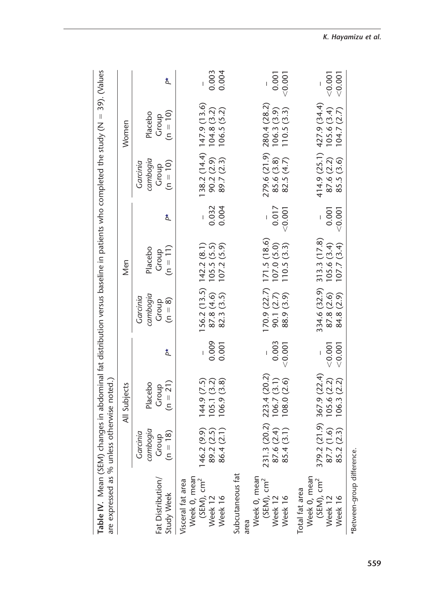<span id="page-8-0"></span>

| Table IV. Mean (SEM) changes in abdominal fat distribution versus baseline in patients who completed the study (N = 39). (Values<br>are expressed as % unless otherwise noted.) |                                             |                                                       |                      |                                                        |                                                                         |                  |                                             |                                                         |                      |
|---------------------------------------------------------------------------------------------------------------------------------------------------------------------------------|---------------------------------------------|-------------------------------------------------------|----------------------|--------------------------------------------------------|-------------------------------------------------------------------------|------------------|---------------------------------------------|---------------------------------------------------------|----------------------|
|                                                                                                                                                                                 |                                             | All Subjects                                          |                      |                                                        | Men                                                                     |                  |                                             | Women                                                   |                      |
| Fat Distribution/<br>Study Week                                                                                                                                                 | cambogia<br>$(n = 18)$<br>Garcinia<br>Group | $(n = 21)$<br>Placebo<br>Group                        | ð.                   | cambogia<br>Garcinia<br>Group<br>$(n = 8)$             | $(n = 11)$<br>Placebo<br>Group                                          | å,               | cambogia<br>$(n = 10)$<br>Garcinia<br>Group | $(n = 10)$<br>Placebo<br>Group                          | ð.                   |
| Week 0, mean<br>(SEM), cm <sup>2</sup><br>Week 12<br>Week 16<br>Visceral fat area                                                                                               | 46.2 (9.9)<br>86.4 (2.1)<br>89.2 (2.5)      | $144.9(7.5)$<br>$105.1(3.2)$<br>(3.8)                 | 0.009<br>0.001       | $156.2(13.5)$ $142.2(8.1)$<br>82.3 (3.5)<br>87.8 (4.6) | 105.5(5.5)<br>107.2(5.9)                                                | 0.032<br>0.004   | 90.2 (2.9)<br>89.7 (2.3)                    | $138.2(14.4)$ 147.9 (13.6)<br>104.8(3.2)<br>106.5(5.2)  | 0.003<br>0.004       |
| Subcutaneous fat<br>Week 0, mean<br>(SEM), cm <sup>2</sup><br>Week 12<br>Week 16<br>area                                                                                        | 231.3 (20.2)<br>87.6 (2.4)<br>85.4(3.1)     | 223.4 (20.2)<br>106.7(3.1)<br>108.0(2.6)              | 0.003<br>$<$ 0.001   | 88.9 (3.9)                                             | $170.9$ (22.7) $171.5$ (18.6)<br>90.1 (2.7) $107.0$ (5.0)<br>110.5(3.3) | 0.017<br>< 0.001 | 85.6 (3.8)<br>82.5 (4.7)                    | 279.6 (21.9) 280.4 (28.2)<br>(3.9)<br>(3.3)             | < 0.001<br>0.001     |
| Week 0, mean<br>(SEM), cm <sup>2</sup><br>Week 12<br>Week 16<br>Total fat area                                                                                                  | 87.7 (1.6)<br>85.2 (2.3)                    | 379.2 (21.9) 367.9 (22.4)<br>106.3(2.2)<br>105.6(2.2) | < 0.001<br>$<$ 0.001 | 84.8 (2.9)<br>87.8 (2.6)                               | 334.6 (32.9) 313.3 (17.8)<br>105.6(3.4)<br>107.7(3.4)                   | < 0.001<br>0.001 | 87.6 (2.2)<br>85.5 (3.6)                    | $414.9(25.1)$ $427.9(34.4)$<br>105.6(3.4)<br>104.7(2.7) | < 0.001<br>$<$ 0.001 |
| *Between-group differ                                                                                                                                                           | ence.                                       |                                                       |                      |                                                        |                                                                         |                  |                                             |                                                         |                      |

**559**

#### *K. Hayamizu et al.*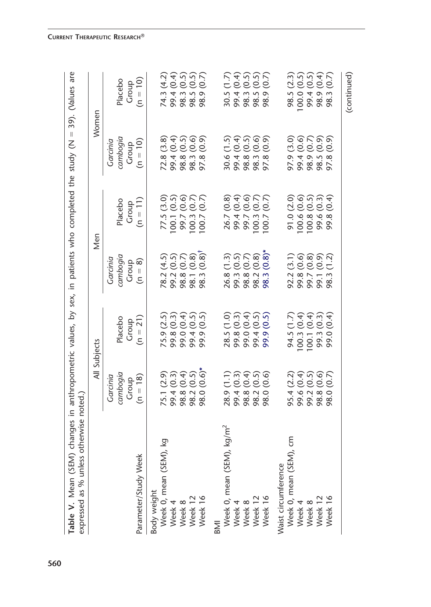<span id="page-9-0"></span>

| Table V. Mean (SEM) changes in anthropometric values, by sex, in patients who completed the study (N = 39). (Values are<br>expressed as % unless otherwise noted.) |                                                                       |                                                                         |                                                                                   |                                                                                                |                                                                             |                                                                             |
|--------------------------------------------------------------------------------------------------------------------------------------------------------------------|-----------------------------------------------------------------------|-------------------------------------------------------------------------|-----------------------------------------------------------------------------------|------------------------------------------------------------------------------------------------|-----------------------------------------------------------------------------|-----------------------------------------------------------------------------|
|                                                                                                                                                                    |                                                                       | All Subjects                                                            |                                                                                   | Men                                                                                            | Women                                                                       |                                                                             |
| Parameter/Study Week                                                                                                                                               | cambogia<br>$(n = 18)$<br>Garcinia<br>Group                           | $(n = 21)$<br>Placebo<br>Group                                          | cambogia<br>Garcinia<br>Group<br>$(n = 8)$                                        | $(n = 11)$<br>Placebo<br>Group                                                                 | cambogia<br>$(n = 10)$<br>Garcinia<br>Group                                 | $(n = 10)$<br>Placebo<br>Group                                              |
| $EM$ ), $kg$<br>Week 0, mean (SEI<br>Week 4<br>Week 8<br>Week 12<br>Week 16<br>Body weight                                                                         | 98.0 (0.6)*<br>99.4 (0.3)<br>98.8 (0.4)<br>98.2 (0.5)<br>75.1 (2.9)   | 75.9 (2.5)<br>99.8 (0.3)<br>99.0 (0.4)<br>99.4 (0.5)<br>(0.5)<br>99.9   | $(0.8)^{\dagger}$<br>78.2 (4.5)<br>99.2 (0.5)<br>98.8 (0.7)<br>98.1 (0.8)<br>98.3 | 77.5 (3.0)<br>100.1 (0.5)<br>99.7 (0.6)<br>100.3 (0.7)<br>(0.7)<br>100.3<br>100.7 <sub>0</sub> | $99.4 (0.4)$<br>$98.8 (0.5)$<br>$98.3 (0.6)$<br>(0.9)<br>72.8(3.8)<br>97.8  | $99.4 (0.4)$<br>$98.3 (0.5)$<br>$98.5 (0.5)$<br>74.3 (4.2)<br>98.9 (0.7)    |
| $EM$ ), kg/m <sup>2</sup><br>Week 0, mean (SEI<br>Week 4<br>Week 8<br>Week 12<br>Week 16<br><b>BMI</b>                                                             | $99.4(0.3)$<br>$98.8(0.4)$<br>$98.2(0.5)$<br>28.9 (1.1)<br>98.0 (0.6) | 28.5(1.0)<br>99.8 (0.3)<br>99.0 (0.4)<br>99.4 (0.5)<br>(0.5)<br>99.9    | $(0.8)*$<br>26.8 (1.3)<br>99.3 (0.5)<br>98.8 (0.7)<br>98.3 (0.8)*<br>98.3 (0.8)*  | $99.4 (0.4)$<br>$99.7 (0.6)$<br>$100.3 (0.7)$<br>26.7 (0.8)<br>(0.7)<br>100.7                  | 99.4 (0.4)<br>98.8 (0.5)<br>98.3 (0.6)<br>97.8 (0.9)<br>30.6(1.5)           | 99.4 (0.4)<br>98.3 (0.5)<br>98.5 (0.5)<br>98.9 (0.7)<br>30.5 (1.7)          |
| Waist circumference<br>Week 0, mean (SEM), cm<br>Week 4<br>Week 12<br>Week 16                                                                                      | 95.4 (2.2)<br>99.6 (0.4)<br>99.2 (0.5)<br>98.8 (0.6)<br>98.0 (0.7)    | $100.3(0.4)$<br>$100.1(0.4)$<br>$99.3(0.3)$<br>99.0 (0.4)<br>94.5 (1.7) | 92.2 (3.1)<br>99.8 (0.6)<br>99.7 (0.8)<br>99.1 (0.9)<br>98.3 (1.2)                | 91.0(2.0)<br>100.6(0.6)<br>$100.8(0.5)$<br>99.6 $(0.3)$<br>99.8 (0.4)                          | 97.9 (3.0)<br>(0.9)<br>$99.4 (0.6)$<br>$98.9 (0.7)$<br>$98.5 (0.9)$<br>97.8 | 98.5 (2.3)<br>$100.0 (0.5)$<br>$99.4 (0.5)$<br>$98.9 (0.4)$<br>$98.3 (0.7)$ |
|                                                                                                                                                                    |                                                                       |                                                                         |                                                                                   |                                                                                                |                                                                             | (continued)                                                                 |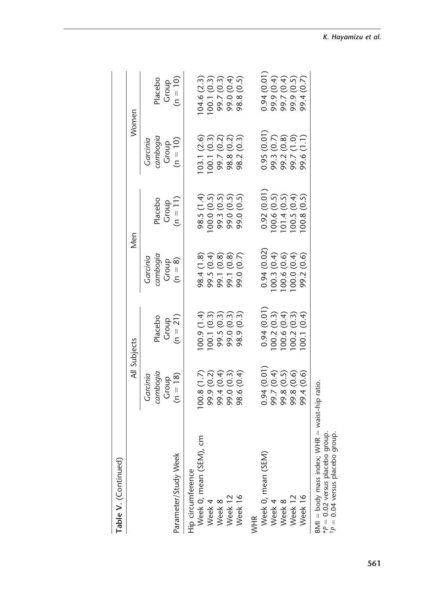| Table V. (Continued)                                                                                                        |                                        |                                                               |                                                                    |                          |                                                                                                               |                                                                               |
|-----------------------------------------------------------------------------------------------------------------------------|----------------------------------------|---------------------------------------------------------------|--------------------------------------------------------------------|--------------------------|---------------------------------------------------------------------------------------------------------------|-------------------------------------------------------------------------------|
|                                                                                                                             |                                        | All Subjects                                                  |                                                                    | Men                      | Women                                                                                                         |                                                                               |
|                                                                                                                             | cambogia<br>Garcinia<br>Group          | Placebo<br>Group                                              | cambogia<br>Garcinia<br>Group                                      | Placebo<br>Group         | cambogia<br>Garcinia<br>Group                                                                                 | Placebo<br>Group                                                              |
| Parameter/Study Week                                                                                                        | $(n = 18)$                             | $(n = 21)$                                                    | $(n = 8)$                                                          | $(n = 11)$               | $(n = 10)$                                                                                                    | $(n = 10)$                                                                    |
| (SEM), cm<br>Hip circumference<br>Week 0, mean (                                                                            | 00.8(1.7)                              | $(4, 1)$ 6.00                                                 |                                                                    | 98.5 (1.4)               |                                                                                                               | 04.6(2.3)                                                                     |
| Week 4                                                                                                                      | 99.9 (0.2)                             |                                                               | 98.4 (1.8)<br>99.5 (0.4)<br>99.1 (0.8)<br>99.1 (0.8)<br>99.0 (0.7) | 00.0(0.5)                | $\begin{array}{c} 103.1 & (2.6) \\ 100.1 & (0.3) \\ 99.7 & (0.2) \\ 98.8 & (0.2) \\ 98.2 & (0.3) \end{array}$ |                                                                               |
| Week 8                                                                                                                      | 99.4 (0.4)<br>99.0 (0.3)<br>98.6 (0.4) | $100.1 (0.3)$<br>$99.5 (0.3)$<br>$99.0 (0.3)$<br>$98.9 (0.3)$ |                                                                    |                          |                                                                                                               |                                                                               |
| Week 12                                                                                                                     |                                        |                                                               |                                                                    | 99.3 (0.5)<br>99.0 (0.5) |                                                                                                               |                                                                               |
| Week 16                                                                                                                     |                                        |                                                               |                                                                    | 99.0 (0.5)               |                                                                                                               | $100.1 (0.3)$<br>$99.7 (0.3)$<br>$99.0 (0.4)$<br>$98.8 (0.5)$                 |
| WHR                                                                                                                         |                                        |                                                               |                                                                    |                          |                                                                                                               |                                                                               |
| (SEM)<br>Week 0, mean (                                                                                                     | 0.01(0.01)                             | 0.94(0.01)                                                    | 0.94(0.02)                                                         | 0.92(0.01)               | $0.95(0.01)$<br>$99.3(0.7)$<br>$99.2(0.8)$<br>$99.7(1.0)$<br>$99.6(1.1)$                                      | $0.94 (0.01)$<br>$99.9 (0.4)$<br>$99.7 (0.4)$<br>$99.7 (0.5)$<br>$99.4 (0.7)$ |
| Week 4                                                                                                                      |                                        |                                                               | 00.3(0.4)                                                          | 00.6(0.5)                |                                                                                                               |                                                                               |
| Week 8                                                                                                                      |                                        |                                                               |                                                                    | 101.4(0.5)               |                                                                                                               |                                                                               |
| Week 12                                                                                                                     | 99.7 (0.4)<br>99.8 (0.5)<br>99.8 (0.6) | $100.2(0.3)$<br>$100.6(0.4)$<br>$100.2(0.3)$                  | $\frac{100.6(0.6)}{100.0(0.4)}$                                    | 00.5(0.4)                |                                                                                                               |                                                                               |
| Week 16                                                                                                                     | 99.4 (0.6)                             | (0.1 (0.4)                                                    | 99.2 (0.6)                                                         | 00.8(0.5)                |                                                                                                               |                                                                               |
| $BMI = body$ mass index; WHR = waist-hip ratio.<br>* $P = 0.02$ versus placebo group.<br>† $P = 0.04$ versus placebo group. |                                        |                                                               |                                                                    |                          |                                                                                                               |                                                                               |

 0.02 versus placebo group. 0.04 versus placebo group.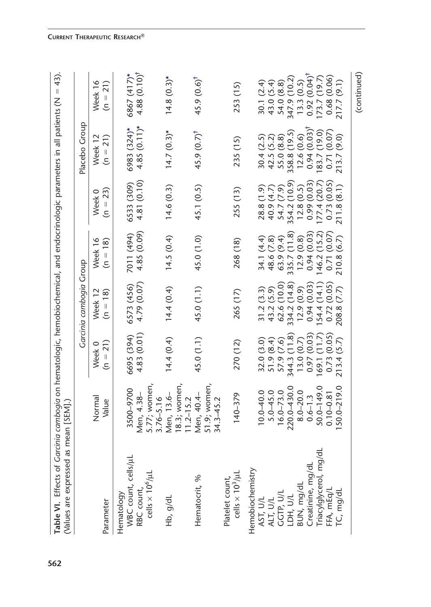| (Values are expressed as mean [SEM].)<br>Table VI. Effects of                                                                                | <i>Carcinia cambogia</i> on hematologic, hemobiochemical, and endocrinologic parameters in all patients (N = 43). |                           |                                           |                           |                              |                                 |                                       |
|----------------------------------------------------------------------------------------------------------------------------------------------|-------------------------------------------------------------------------------------------------------------------|---------------------------|-------------------------------------------|---------------------------|------------------------------|---------------------------------|---------------------------------------|
|                                                                                                                                              |                                                                                                                   |                           | Garcinia camboqia Group                   |                           |                              | Placebo Group                   |                                       |
| Parameter                                                                                                                                    | Normal<br>Value                                                                                                   | $(n = 21)$<br>Week 0      | Week 12<br>$(n = 18)$                     | Week 16<br>$(n = 18)$     | $(n = 23)$<br>Week 0         | Week 12<br>$(n = 21)$           | Week 16<br>$(n = 21)$                 |
| Hematology                                                                                                                                   |                                                                                                                   |                           |                                           |                           |                              |                                 |                                       |
| WBC count, cells/µL<br>RBC count,                                                                                                            | 3500-9700<br>Men, 4.38-                                                                                           | 4.83 (0.01)<br>6695 (394) | 4.79 (0.07)<br>6573 (456)                 | 4.85 (0.09)<br>7011 (494) | 4.81(0.10)<br>6533 (309)     | $4.85(0.11)*$<br>6983 (324)*    | $4.88(0.10)^{\dagger}$<br>6867 (417)* |
| cells $\times$ 10 <sup>6</sup> / $\mu$ L                                                                                                     | 5.77; women,<br>$3.76 - 5.16$                                                                                     |                           |                                           |                           |                              |                                 |                                       |
| Hb, g/dL                                                                                                                                     | 18.3; women<br>Men, 13.6-<br>$11.2 - 15.2$                                                                        | 14.4(0.4)                 | 14.4(0.4)                                 | 14.5(0.4)                 | 14.6(0.3)                    | $14.7(0.3)$ *                   | $14.8(0.3)$ *                         |
| Hematocrit, %                                                                                                                                | 51.9; women,<br>Men, 40.4-<br>34.3-45.2                                                                           | 45.0 (1.1)                | 45.0 (1.1)                                | 45.0 (1.0)                | 45.1 (0.5)                   | $45.9(0.7)^{\dagger}$           | $45.9(0.6)^{\dagger}$                 |
| Platelet count,<br>cells $\times$ 10 <sup>3</sup> /µL                                                                                        | $140 - 379$                                                                                                       | 270 (12)                  | 265 (17)                                  | 268 (18)                  | 255 (13)                     | 235 (15)                        | 253 (15)                              |
| Hemobiochemistry                                                                                                                             | $10.0 - 40.0$                                                                                                     | 32.0 (3.0)                | 31.2(3.3)                                 | 34.1 (4.4)                | 28.8(1.9)                    | 30.4(2.5)                       | 30.1 $(2.4)$                          |
|                                                                                                                                              | $5.0 - 45.0$                                                                                                      | 51.9 (8.4)                |                                           | 48.6 (7.8)                |                              | 42.5 (5.2)                      | 43.0 (5.4)                            |
|                                                                                                                                              | $16.0 - 73.0$                                                                                                     | 57.9 (7.6)                |                                           | 63.9 (9.4)                | 40.9 (4.7)<br>54.7 (7.9)     | 55.0 (8.8)                      | 54.0 (8.8)                            |
|                                                                                                                                              | $220.0 - 430.0$                                                                                                   | 344.3 (11.8)              | 43.2 (5.9)<br>62.6 (10.0)<br>334.2 (14.8) | 335.7 (11.8)              | 354.2 (10.9)                 | 358.8 (19.5)                    | 347.9 (10.2)                          |
|                                                                                                                                              | $8.0 - 20.0$                                                                                                      | 13.0(0.7)                 | 12.9(0.9)                                 | 12.9(0.8)                 | 12.8(0.5)                    | 12.6(0.6)                       | 13.3(0.5)                             |
| lb/gr<br>AST, U/L<br>ALT, U/L<br>GGTP, U/L<br>LDH, U/L<br>EN, mg/dL<br>Triacylglycerol, mg<br>Triacylglycerol, mg<br>FFA, mEq/L<br>TC, mg/dL | $50.0 - 149.0$<br>$0.6 - 1.3$                                                                                     | 0.97(0.03)<br>169.1(11.7) | 54.4 (14.1)<br>0.94(0.03)                 | 0.94(0.03)<br>146.2(15.2) | $0.99(0.03)$<br>177.4 (20.7) | $0.94(0.03)^{t}$<br>83.7 (19.0) | $0.92(0.04)^{\dagger}$<br>173.7(19.7) |
|                                                                                                                                              | $0.10 - 0.81$                                                                                                     | 0.73(0.05)                | 0.72(0.05)                                | 0.71(0.07)                | 0.73(0.05)                   | 0.71(0.07)                      | 0.68(0.06)                            |
|                                                                                                                                              | $50.0 - 219.0$                                                                                                    | 213.4(5.7)                | 208.8 (7.7)                               | 210.8(6.7)                | 211.8(8.1)                   | 213.7 (9.0)                     | 217.7 (9.1)                           |
|                                                                                                                                              |                                                                                                                   |                           |                                           |                           |                              |                                 | (continued)                           |

<span id="page-11-0"></span>**CURRENT THERAPEUTIC RESEARCH**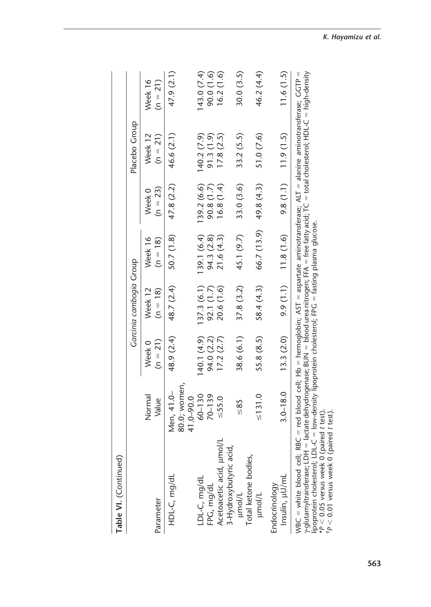| Table VI. (Continued)                                                                                                                                                                                                                                                                                                                                                                                |                                                                                                                       |                           |                         |                           |                          |                         |                          |
|------------------------------------------------------------------------------------------------------------------------------------------------------------------------------------------------------------------------------------------------------------------------------------------------------------------------------------------------------------------------------------------------------|-----------------------------------------------------------------------------------------------------------------------|---------------------------|-------------------------|---------------------------|--------------------------|-------------------------|--------------------------|
|                                                                                                                                                                                                                                                                                                                                                                                                      |                                                                                                                       |                           | Garcinia camboqia Group |                           |                          | Placebo Group           |                          |
| Parameter                                                                                                                                                                                                                                                                                                                                                                                            | Normal<br>Value                                                                                                       | $(n = 21)$<br>Week 0      | Week 12<br>$(n = 18)$   | Week 16<br>$(n = 18)$     | $(n = 23)$<br>Week 0     | Week 12<br>$(n = 21)$   | Week 16<br>$(n = 21)$    |
| HDL-C, mg/dL                                                                                                                                                                                                                                                                                                                                                                                         | 80.0; women,<br>Men, 41.0-<br>41.0-90.0                                                                               | 48.9 (2.4)                | 48.7 (2.4)              | 50.7(1.8)                 | 47.8 (2.2)               | 46.6 (2.1)              | 47.9 (2.1)               |
| LDL-C, mg/dL<br>FPG, mg/dL                                                                                                                                                                                                                                                                                                                                                                           | $60 - 130$<br>$70 - 139$                                                                                              | 140.1 (4.9)<br>94.0 (2.2) | 137.3(6.1)<br>92.1(1.7) | (6.4) [39.1<br>94.3 (2.8) | 139.2 (6.6)<br>90.8(1.7) | 140.2(7.9)<br>91.3(1.9) | 143.0(7.4)<br>90.0 (1.6) |
| umol/L<br>Acetoacetic acid,                                                                                                                                                                                                                                                                                                                                                                          | 55.0                                                                                                                  | 17.2 (2.7)                | 20.6 (1.6)              | 21.6(4.3)                 | 16.8(1.4)                | 17.8(2.5)               | 16.2(1.6)                |
| acid,<br>3-Hydroxybutyric<br>$\mu$ mol/L                                                                                                                                                                                                                                                                                                                                                             | $\leq 85$                                                                                                             | 38.6 (6.1)                | 37.8(3.2)               | 45.1 (9.7)                | 33.0 (3.6)               | 33.2(5.5)               | 30.0(3.5)                |
| ies,<br>Total ketone bod<br>J/lounh                                                                                                                                                                                                                                                                                                                                                                  | $\leq 131.0$                                                                                                          | 55.8 (8.5)                | 58.4(4.3)               | 66.7 (13.9)               | 49.8 (4.3)               | 51.0(7.6)               | 46.2 (4.4)               |
| Insulin, $\mu$ U/mL<br>Endocrinology                                                                                                                                                                                                                                                                                                                                                                 | $3.0 - 18.0$                                                                                                          | 13.3(2.0)                 | 9.9 (1.1)               | 11.8(1.6)                 | (1.1)                    | 11.9(1.5)               | 11.6(1.5)                |
| y-glutamyltransferase; LDH = lactate dehydrogenase; BUN = blood urea nitrogen; FFA = free fatty acid; TC = total cholesterol; HDL-C = high-density<br>lipoprotein cholesterol; LDL-C = low-density lipoprotein cholesterol; FPG = fasting plasma glucose.<br>* $\overline{P}$ < 0.05 versus week 0 (paired t test).<br><sup>t</sup> $P$ < 0.01 versus week 0 (paired t test).<br>$WBC = white blood$ | cell; RBC = red blood cell; Hb = hemoglobin; AST = aspartate aminotransferase; ALT = alanine aminotransferase; GGTP = |                           |                         |                           |                          |                         |                          |

*K. Hayamizu et al.*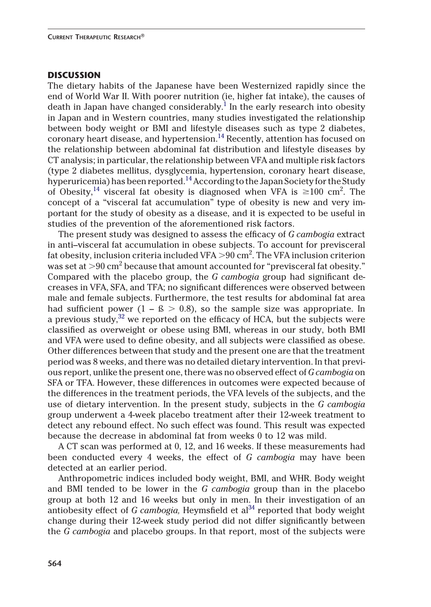#### **DISCUSSION**

The dietary habits of the Japanese have been Westernized rapidly since the end of World War II. With poorer nutrition (ie, higher fat intake), the causes of death in Japan have changed considerably.<sup>1</sup> In the early research into obesity in Japan and in Western countries, many studies investigated the relationship between body weight or BMI and lifestyle diseases such as type 2 diabetes, coronary heart disease, and hypertension.<sup>[14](#page-15-0)</sup> Recently, attention has focused on the relationship between abdominal fat distribution and lifestyle diseases by CT analysis; in particular, the relationship between VFA and multiple risk factors (type 2 diabetes mellitus, dysglycemia, hypertension, coronary heart disease, hyperuricemia) has been reported.<sup>14</sup> According to the Japan Society for the Study of Obesity,<sup>[14](#page-15-0)</sup> visceral fat obesity is diagnosed when VFA is  $\geq 100$  cm<sup>2</sup>. The concept of a "visceral fat accumulation" type of obesity is new and very important for the study of obesity as a disease, and it is expected to be useful in studies of the prevention of the aforementioned risk factors.

The present study was designed to assess the efficacy of *G cambogia* extract in anti–visceral fat accumulation in obese subjects. To account for previsceral fat obesity, inclusion criteria included VFA  $>\!90$  cm $^2$ . The VFA inclusion criterion was set at  $>90 \text{ cm}^2$  because that amount accounted for "previsceral fat obesity." Compared with the placebo group, the *G cambogia* group had significant decreases in VFA, SFA, and TFA; no significant differences were observed between male and female subjects. Furthermore, the test results for abdominal fat area had sufficient power  $(1 - \mathbb{S} > 0.8)$ , so the sample size was appropriate. In a previous study, $32$  we reported on the efficacy of HCA, but the subjects were classified as overweight or obese using BMI, whereas in our study, both BMI and VFA were used to define obesity, and all subjects were classified as obese. Other differences between that study and the present one are that the treatment period was 8 weeks, and there was no detailed dietary intervention. In that previous report, unlike the present one, there was no observed effect of*G cambogia* on SFA or TFA. However, these differences in outcomes were expected because of the differences in the treatment periods, the VFA levels of the subjects, and the use of dietary intervention. In the present study, subjects in the *G cambogia* group underwent a 4-week placebo treatment after their 12-week treatment to detect any rebound effect. No such effect was found. This result was expected because the decrease in abdominal fat from weeks 0 to 12 was mild.

A CT scan was performed at 0, 12, and 16 weeks. If these measurements had been conducted every 4 weeks, the effect of *G cambogia* may have been detected at an earlier period.

Anthropometric indices included body weight, BMI, and WHR. Body weight and BMI tended to be lower in the *G cambogia* group than in the placebo group at both 12 and 16 weeks but only in men. In their investigation of an antiobesity effect of *G cambogia*, Heymsfield et  $a^{34}$  reported that body weight change during their 12-week study period did not differ significantly between the *G cambogia* and placebo groups. In that report, most of the subjects were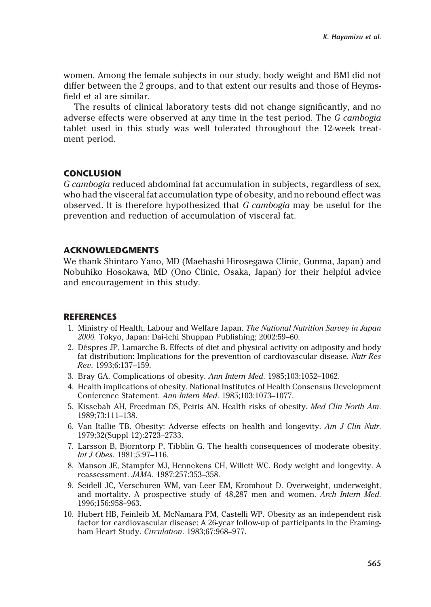<span id="page-14-0"></span>women. Among the female subjects in our study, body weight and BMI did not differ between the 2 groups, and to that extent our results and those of Heymsfield et al are similar.

The results of clinical laboratory tests did not change significantly, and no adverse effects were observed at any time in the test period. The *G cambogia* tablet used in this study was well tolerated throughout the 12-week treatment period.

# **CONCLUSION**

*G cambogia* reduced abdominal fat accumulation in subjects, regardless of sex, who had the visceral fat accumulation type of obesity, and no rebound effect was observed. It is therefore hypothesized that *G cambogia* may be useful for the prevention and reduction of accumulation of visceral fat.

# **ACKNOWLEDGMENTS**

We thank Shintaro Yano, MD (Maebashi Hirosegawa Clinic, Gunma, Japan) and Nobuhiko Hosokawa, MD (Ono Clinic, Osaka, Japan) for their helpful advice and encouragement in this study.

#### **REFERENCES**

- 1. Ministry of Health, Labour and Welfare Japan. *The National Nutrition Survey in Japan 2000.* Tokyo, Japan: Dai-ichi Shuppan Publishing; 2002:59–60.
- 2. Déspres JP, Lamarche B. Effects of diet and physical activity on adiposity and body fat distribution: Implications for the prevention of cardiovascular disease. *Nutr Res Rev*. 1993;6:137–159.
- 3. Bray GA. Complications of obesity. *Ann Intern Med*. 1985;103:1052–1062.
- 4. Health implications of obesity. National Institutes of Health Consensus Development Conference Statement. *Ann Intern Med*. 1985;103:1073–1077.
- 5. Kissebah AH, Freedman DS, Peiris AN. Health risks of obesity. *Med Clin North Am*. 1989;73:111–138.
- 6. Van Itallie TB. Obesity: Adverse effects on health and longevity. *Am J Clin Nutr*. 1979;32(Suppl 12):2723–2733.
- 7. Larsson B, Bjorntorp P, Tibblin G. The health consequences of moderate obesity. *Int J Obes*. 1981;5:97–116.
- 8. Manson JE, Stampfer MJ, Hennekens CH, Willett WC. Body weight and longevity. A reassessment. *JAMA*. 1987;257:353–358.
- 9. Seidell JC, Verschuren WM, van Leer EM, Kromhout D. Overweight, underweight, and mortality. A prospective study of 48,287 men and women. *Arch Intern Med*. 1996;156:958–963.
- 10. Hubert HB, Feinleib M, McNamara PM, Castelli WP. Obesity as an independent risk factor for cardiovascular disease: A 26-year follow-up of participants in the Framingham Heart Study. *Circulation*. 1983;67:968–977.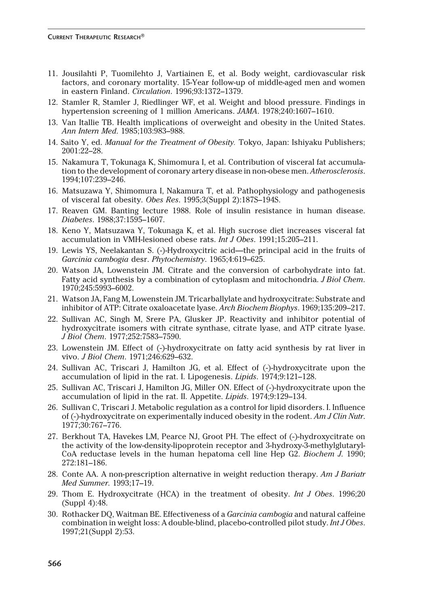- <span id="page-15-0"></span>11. Jousilahti P, Tuomilehto J, Vartiainen E, et al. Body weight, cardiovascular risk factors, and coronary mortality. 15-Year follow-up of middle-aged men and women in eastern Finland. *Circulation*. 1996;93:1372–1379.
- 12. Stamler R, Stamler J, Riedlinger WF, et al. Weight and blood pressure. Findings in hypertension screening of 1 million Americans. *JAMA*. 1978;240:1607–1610.
- 13. Van Itallie TB. Health implications of overweight and obesity in the United States. *Ann Intern Med*. 1985;103:983–988.
- 14. Saito Y, ed. *Manual for the Treatment of Obesity.* Tokyo, Japan: Ishiyaku Publishers; 2001:22–28.
- 15. Nakamura T, Tokunaga K, Shimomura I, et al. Contribution of visceral fat accumulation to the development of coronary artery disease in non-obese men. *Atherosclerosis*. 1994;107:239–246.
- 16. Matsuzawa Y, Shimomura I, Nakamura T, et al. Pathophysiology and pathogenesis of visceral fat obesity. *Obes Res*. 1995;3(Suppl 2):187S–194S.
- 17. Reaven GM. Banting lecture 1988. Role of insulin resistance in human disease. *Diabetes*. 1988;37:1595–1607.
- 18. Keno Y, Matsuzawa Y, Tokunaga K, et al. High sucrose diet increases visceral fat accumulation in VMH-lesioned obese rats. *Int J Obes*. 1991;15:205–211.
- 19. Lewis YS, Neelakantan S. (-)-Hydroxycitric acid—the principal acid in the fruits of *Garcinia cambogia* desr. *Phytochemistry*. 1965;4:619–625.
- 20. Watson JA, Lowenstein JM. Citrate and the conversion of carbohydrate into fat. Fatty acid synthesis by a combination of cytoplasm and mitochondria. *J Biol Chem*. 1970;245:5993–6002.
- 21. Watson JA, Fang M, Lowenstein JM. Tricarballylate and hydroxycitrate: Substrate and inhibitor of ATP: Citrate oxaloacetate lyase. *Arch Biochem Biophys*. 1969;135:209–217.
- 22. Sullivan AC, Singh M, Srere PA, Glusker JP. Reactivity and inhibitor potential of hydroxycitrate isomers with citrate synthase, citrate lyase, and ATP citrate lyase. *J Biol Chem*. 1977;252:7583–7590.
- 23. Lowenstein JM. Effect of (-)-hydroxycitrate on fatty acid synthesis by rat liver in vivo. *J Biol Chem*. 1971;246:629–632.
- 24. Sullivan AC, Triscari J, Hamilton JG, et al. Effect of (-)-hydroxycitrate upon the accumulation of lipid in the rat. I. Lipogenesis. *Lipids*. 1974;9:121–128.
- 25. Sullivan AC, Triscari J, Hamilton JG, Miller ON. Effect of (-)-hydroxycitrate upon the accumulation of lipid in the rat. II. Appetite. *Lipids*. 1974;9:129–134.
- 26. Sullivan C, Triscari J. Metabolic regulation as a control for lipid disorders. I. Influence of (-)-hydroxycitrate on experimentally induced obesity in the rodent. *Am J Clin Nutr*. 1977;30:767–776.
- 27. Berkhout TA, Havekes LM, Pearce NJ, Groot PH. The effect of (-)-hydroxycitrate on the activity of the low-density-lipoprotein receptor and 3-hydroxy-3-methylglutaryl-CoA reductase levels in the human hepatoma cell line Hep G2. *Biochem J*. 1990; 272:181–186.
- 28. Conte AA. A non-prescription alternative in weight reduction therapy. *Am J Bariatr Med Summer*. 1993;17–19.
- 29. Thom E. Hydroxycitrate (HCA) in the treatment of obesity. *Int J Obes*. 1996;20 (Suppl 4):48.
- 30. Rothacker DQ, Waitman BE. Effectiveness of a *Garcinia cambogia* and natural caffeine combination in weight loss: A double-blind, placebo-controlled pilot study. *Int J Obes*. 1997;21(Suppl 2):53.